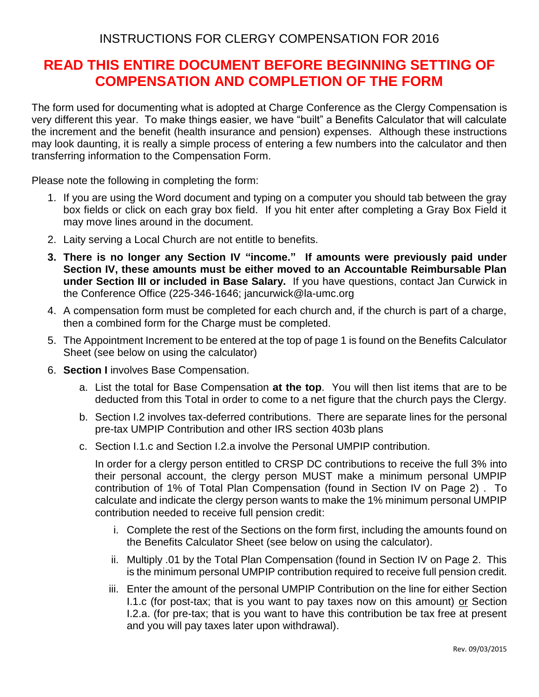INSTRUCTIONS FOR CLERGY COMPENSATION FOR 2016

## **READ THIS ENTIRE DOCUMENT BEFORE BEGINNING SETTING OF COMPENSATION AND COMPLETION OF THE FORM**

The form used for documenting what is adopted at Charge Conference as the Clergy Compensation is very different this year. To make things easier, we have "built" a Benefits Calculator that will calculate the increment and the benefit (health insurance and pension) expenses. Although these instructions may look daunting, it is really a simple process of entering a few numbers into the calculator and then transferring information to the Compensation Form.

Please note the following in completing the form:

- 1. If you are using the Word document and typing on a computer you should tab between the gray box fields or click on each gray box field. If you hit enter after completing a Gray Box Field it may move lines around in the document.
- 2. Laity serving a Local Church are not entitle to benefits.
- **3. There is no longer any Section IV "income." If amounts were previously paid under Section IV, these amounts must be either moved to an Accountable Reimbursable Plan under Section III or included in Base Salary.** If you have questions, contact Jan Curwick in the Conference Office (225-346-1646; jancurwick@la-umc.org
- 4. A compensation form must be completed for each church and, if the church is part of a charge, then a combined form for the Charge must be completed.
- 5. The Appointment Increment to be entered at the top of page 1 is found on the Benefits Calculator Sheet (see below on using the calculator)
- 6. **Section I** involves Base Compensation.
	- a. List the total for Base Compensation **at the top**. You will then list items that are to be deducted from this Total in order to come to a net figure that the church pays the Clergy.
	- b. Section I.2 involves tax-deferred contributions. There are separate lines for the personal pre-tax UMPIP Contribution and other IRS section 403b plans
	- c. Section I.1.c and Section I.2.a involve the Personal UMPIP contribution.

In order for a clergy person entitled to CRSP DC contributions to receive the full 3% into their personal account, the clergy person MUST make a minimum personal UMPIP contribution of 1% of Total Plan Compensation (found in Section IV on Page 2) . To calculate and indicate the clergy person wants to make the 1% minimum personal UMPIP contribution needed to receive full pension credit:

- i. Complete the rest of the Sections on the form first, including the amounts found on the Benefits Calculator Sheet (see below on using the calculator).
- ii. Multiply .01 by the Total Plan Compensation (found in Section IV on Page 2. This is the minimum personal UMPIP contribution required to receive full pension credit.
- iii. Enter the amount of the personal UMPIP Contribution on the line for either Section I.1.c (for post-tax; that is you want to pay taxes now on this amount) or Section I.2.a. (for pre-tax; that is you want to have this contribution be tax free at present and you will pay taxes later upon withdrawal).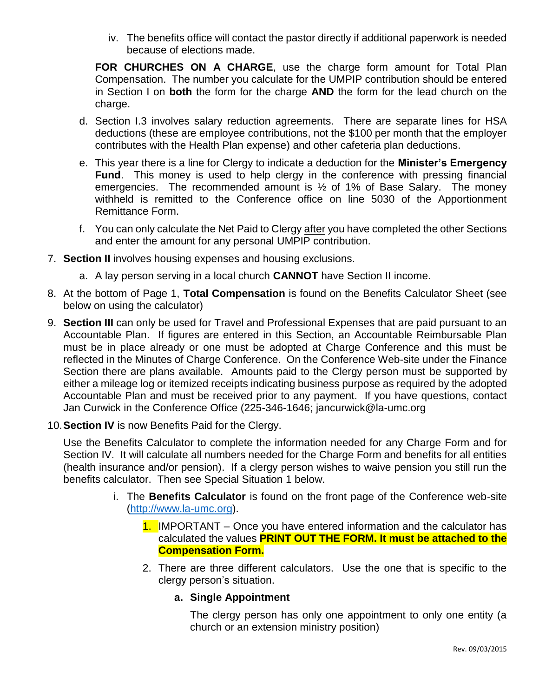iv. The benefits office will contact the pastor directly if additional paperwork is needed because of elections made.

**FOR CHURCHES ON A CHARGE**, use the charge form amount for Total Plan Compensation. The number you calculate for the UMPIP contribution should be entered in Section I on **both** the form for the charge **AND** the form for the lead church on the charge.

- d. Section I.3 involves salary reduction agreements. There are separate lines for HSA deductions (these are employee contributions, not the \$100 per month that the employer contributes with the Health Plan expense) and other cafeteria plan deductions.
- e. This year there is a line for Clergy to indicate a deduction for the **Minister's Emergency Fund**. This money is used to help clergy in the conference with pressing financial emergencies. The recommended amount is ½ of 1% of Base Salary. The money withheld is remitted to the Conference office on line 5030 of the Apportionment Remittance Form.
- f. You can only calculate the Net Paid to Clergy after you have completed the other Sections and enter the amount for any personal UMPIP contribution.
- 7. **Section II** involves housing expenses and housing exclusions.
	- a. A lay person serving in a local church **CANNOT** have Section II income.
- 8. At the bottom of Page 1, **Total Compensation** is found on the Benefits Calculator Sheet (see below on using the calculator)
- 9. **Section III** can only be used for Travel and Professional Expenses that are paid pursuant to an Accountable Plan. If figures are entered in this Section, an Accountable Reimbursable Plan must be in place already or one must be adopted at Charge Conference and this must be reflected in the Minutes of Charge Conference. On the Conference Web-site under the Finance Section there are plans available. Amounts paid to the Clergy person must be supported by either a mileage log or itemized receipts indicating business purpose as required by the adopted Accountable Plan and must be received prior to any payment. If you have questions, contact Jan Curwick in the Conference Office (225-346-1646; jancurwick@la-umc.org
- 10.**Section IV** is now Benefits Paid for the Clergy.

Use the Benefits Calculator to complete the information needed for any Charge Form and for Section IV. It will calculate all numbers needed for the Charge Form and benefits for all entities (health insurance and/or pension). If a clergy person wishes to waive pension you still run the benefits calculator. Then see Special Situation 1 below.

- i. The **Benefits Calculator** is found on the front page of the Conference web-site [\(http://www.la-umc.org\)](http://www.la-umc.org/).
	- 1. IMPORTANT Once you have entered information and the calculator has calculated the values **PRINT OUT THE FORM. It must be attached to the Compensation Form.**
	- 2. There are three different calculators. Use the one that is specific to the clergy person's situation.

## **a. Single Appointment**

The clergy person has only one appointment to only one entity (a church or an extension ministry position)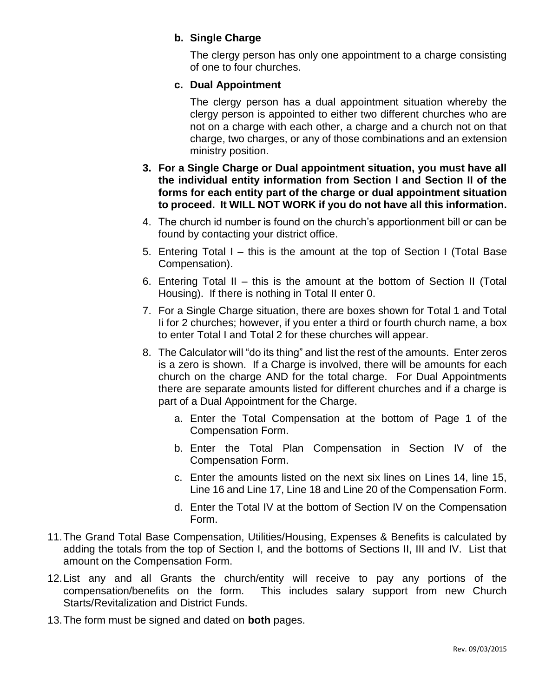## **b. Single Charge**

The clergy person has only one appointment to a charge consisting of one to four churches.

## **c. Dual Appointment**

The clergy person has a dual appointment situation whereby the clergy person is appointed to either two different churches who are not on a charge with each other, a charge and a church not on that charge, two charges, or any of those combinations and an extension ministry position.

- **3. For a Single Charge or Dual appointment situation, you must have all the individual entity information from Section I and Section II of the forms for each entity part of the charge or dual appointment situation to proceed. It WILL NOT WORK if you do not have all this information.**
- 4. The church id number is found on the church's apportionment bill or can be found by contacting your district office.
- 5. Entering Total I this is the amount at the top of Section I (Total Base Compensation).
- 6. Entering Total II this is the amount at the bottom of Section II (Total Housing). If there is nothing in Total II enter 0.
- 7. For a Single Charge situation, there are boxes shown for Total 1 and Total Ii for 2 churches; however, if you enter a third or fourth church name, a box to enter Total I and Total 2 for these churches will appear.
- 8. The Calculator will "do its thing" and list the rest of the amounts. Enter zeros is a zero is shown. If a Charge is involved, there will be amounts for each church on the charge AND for the total charge. For Dual Appointments there are separate amounts listed for different churches and if a charge is part of a Dual Appointment for the Charge.
	- a. Enter the Total Compensation at the bottom of Page 1 of the Compensation Form.
	- b. Enter the Total Plan Compensation in Section IV of the Compensation Form.
	- c. Enter the amounts listed on the next six lines on Lines 14, line 15, Line 16 and Line 17, Line 18 and Line 20 of the Compensation Form.
	- d. Enter the Total IV at the bottom of Section IV on the Compensation Form.
- 11.The Grand Total Base Compensation, Utilities/Housing, Expenses & Benefits is calculated by adding the totals from the top of Section I, and the bottoms of Sections II, III and IV. List that amount on the Compensation Form.
- 12.List any and all Grants the church/entity will receive to pay any portions of the compensation/benefits on the form. This includes salary support from new Church Starts/Revitalization and District Funds.
- 13.The form must be signed and dated on **both** pages.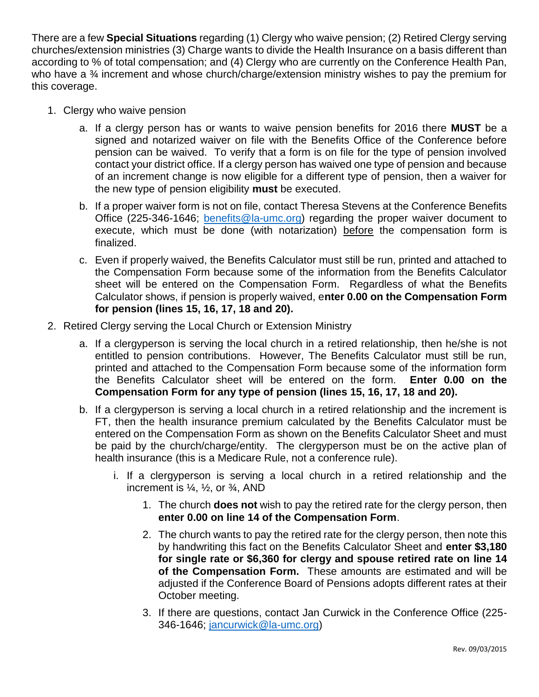There are a few **Special Situations** regarding (1) Clergy who waive pension; (2) Retired Clergy serving churches/extension ministries (3) Charge wants to divide the Health Insurance on a basis different than according to % of total compensation; and (4) Clergy who are currently on the Conference Health Pan, who have a <sup>3</sup>/4 increment and whose church/charge/extension ministry wishes to pay the premium for this coverage.

- 1. Clergy who waive pension
	- a. If a clergy person has or wants to waive pension benefits for 2016 there **MUST** be a signed and notarized waiver on file with the Benefits Office of the Conference before pension can be waived. To verify that a form is on file for the type of pension involved contact your district office. If a clergy person has waived one type of pension and because of an increment change is now eligible for a different type of pension, then a waiver for the new type of pension eligibility **must** be executed.
	- b. If a proper waiver form is not on file, contact Theresa Stevens at the Conference Benefits Office (225-346-1646; [benefits@la-umc.org\)](mailto:benefits@la-umc.org) regarding the proper waiver document to execute, which must be done (with notarization) before the compensation form is finalized.
	- c. Even if properly waived, the Benefits Calculator must still be run, printed and attached to the Compensation Form because some of the information from the Benefits Calculator sheet will be entered on the Compensation Form. Regardless of what the Benefits Calculator shows, if pension is properly waived, e**nter 0.00 on the Compensation Form for pension (lines 15, 16, 17, 18 and 20).**
- 2. Retired Clergy serving the Local Church or Extension Ministry
	- a. If a clergyperson is serving the local church in a retired relationship, then he/she is not entitled to pension contributions. However, The Benefits Calculator must still be run, printed and attached to the Compensation Form because some of the information form the Benefits Calculator sheet will be entered on the form. **Enter 0.00 on the Compensation Form for any type of pension (lines 15, 16, 17, 18 and 20).**
	- b. If a clergyperson is serving a local church in a retired relationship and the increment is FT, then the health insurance premium calculated by the Benefits Calculator must be entered on the Compensation Form as shown on the Benefits Calculator Sheet and must be paid by the church/charge/entity. The clergyperson must be on the active plan of health insurance (this is a Medicare Rule, not a conference rule).
		- i. If a clergyperson is serving a local church in a retired relationship and the increment is  $\frac{1}{4}$ ,  $\frac{1}{2}$ , or  $\frac{3}{4}$ , AND
			- 1. The church **does not** wish to pay the retired rate for the clergy person, then **enter 0.00 on line 14 of the Compensation Form**.
			- 2. The church wants to pay the retired rate for the clergy person, then note this by handwriting this fact on the Benefits Calculator Sheet and **enter \$3,180 for single rate or \$6,360 for clergy and spouse retired rate on line 14 of the Compensation Form.** These amounts are estimated and will be adjusted if the Conference Board of Pensions adopts different rates at their October meeting.
			- 3. If there are questions, contact Jan Curwick in the Conference Office (225- 346-1646; [jancurwick@la-umc.org\)](mailto:jancurwick@la-umc.org)